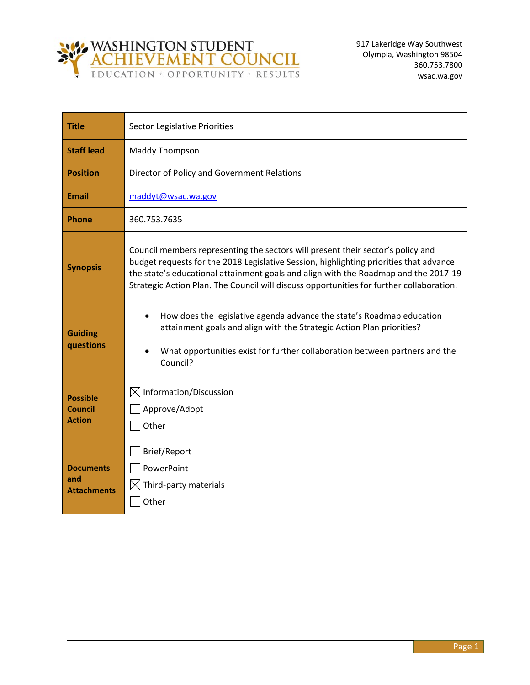

| <b>Title</b>                                  | Sector Legislative Priorities                                                                                                                                                                                                                                                                                                                                |
|-----------------------------------------------|--------------------------------------------------------------------------------------------------------------------------------------------------------------------------------------------------------------------------------------------------------------------------------------------------------------------------------------------------------------|
| <b>Staff lead</b>                             | <b>Maddy Thompson</b>                                                                                                                                                                                                                                                                                                                                        |
| <b>Position</b>                               | Director of Policy and Government Relations                                                                                                                                                                                                                                                                                                                  |
| Email                                         | maddyt@wsac.wa.gov                                                                                                                                                                                                                                                                                                                                           |
| <b>Phone</b>                                  | 360.753.7635                                                                                                                                                                                                                                                                                                                                                 |
| <b>Synopsis</b>                               | Council members representing the sectors will present their sector's policy and<br>budget requests for the 2018 Legislative Session, highlighting priorities that advance<br>the state's educational attainment goals and align with the Roadmap and the 2017-19<br>Strategic Action Plan. The Council will discuss opportunities for further collaboration. |
| <b>Guiding</b><br>questions                   | How does the legislative agenda advance the state's Roadmap education<br>attainment goals and align with the Strategic Action Plan priorities?<br>What opportunities exist for further collaboration between partners and the<br>Council?                                                                                                                    |
| <b>Possible</b><br>Council<br><b>Action</b>   | $\boxtimes$ Information/Discussion<br>Approve/Adopt<br>Other                                                                                                                                                                                                                                                                                                 |
| <b>Documents</b><br>and<br><b>Attachments</b> | Brief/Report<br>PowerPoint<br>Third-party materials<br>IXI<br>Other                                                                                                                                                                                                                                                                                          |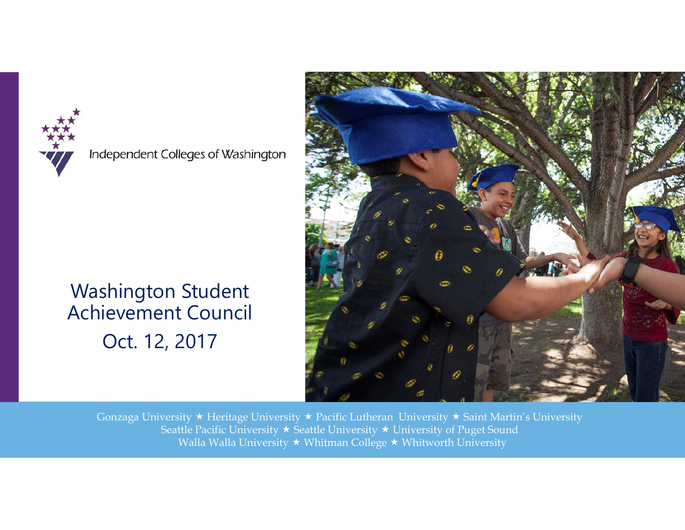

Independent Colleges of Washington

### Washington Student Achievement Council Oct. 12, 2017

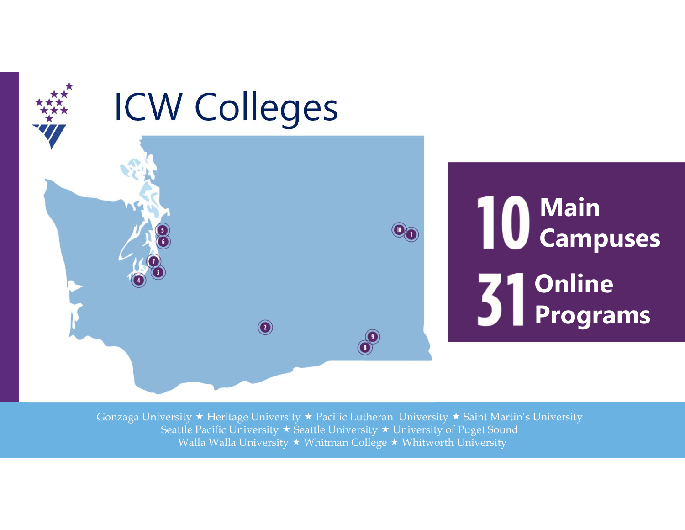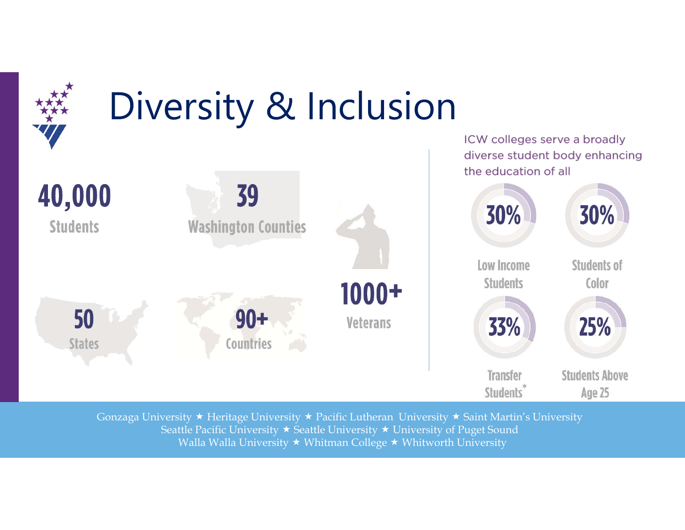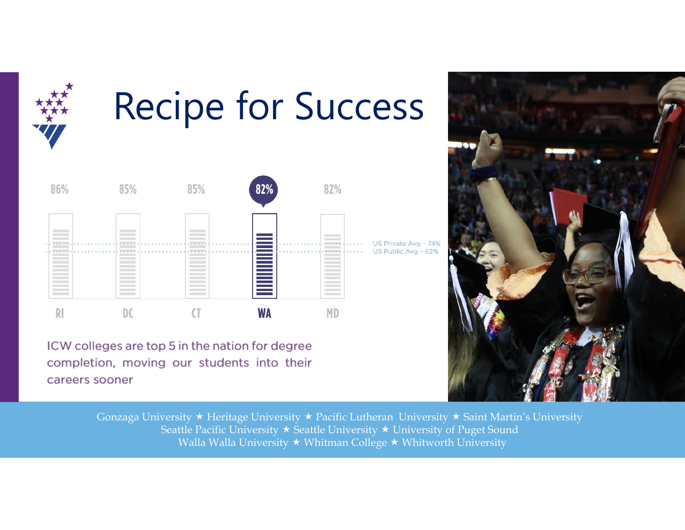

## Recipe for Success



ICW colleges are top 5 in the nation for degree completion, moving our students into their careers sooner

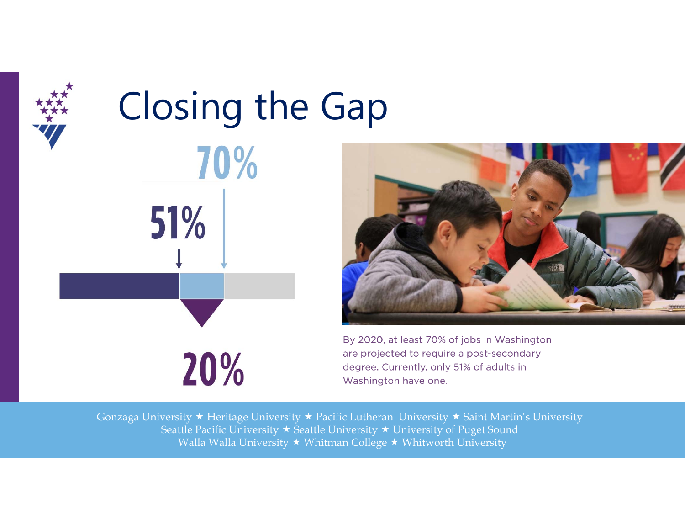

# Closing the Gap70% 51%

20%



By 2020, at least 70% of jobs in Washington are projected to require a post-secondary degree. Currently, only 51% of adults in Washington have one.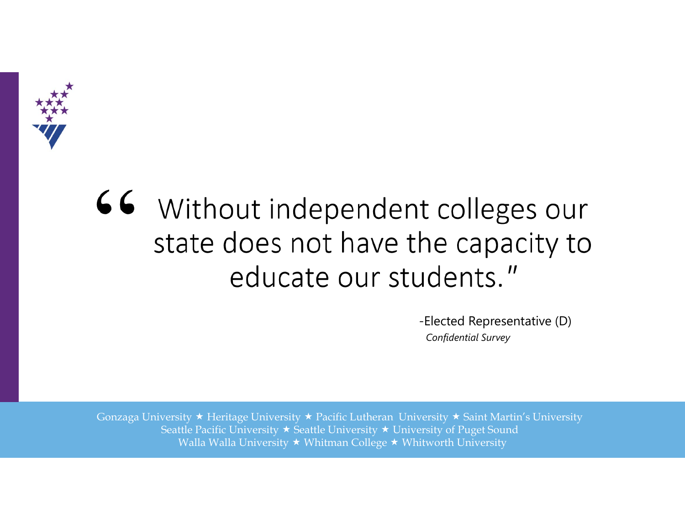

### 66 Without independent colleges our state does not have the capacity to educate our students."

-Elected Representative (D) *Confidential Survey*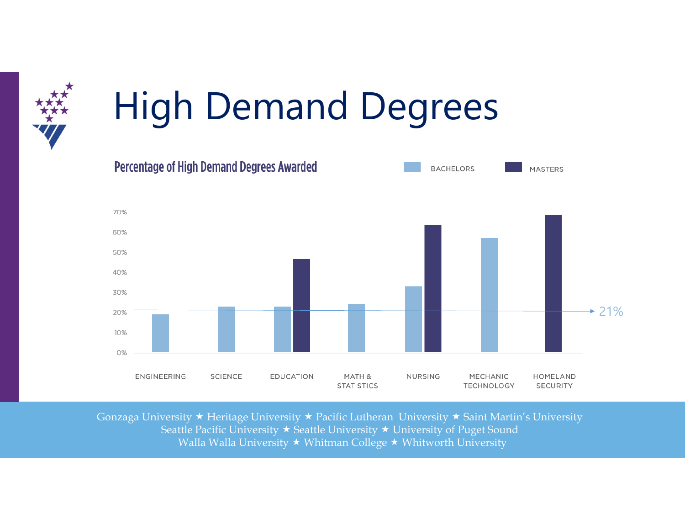

## High Demand Degrees

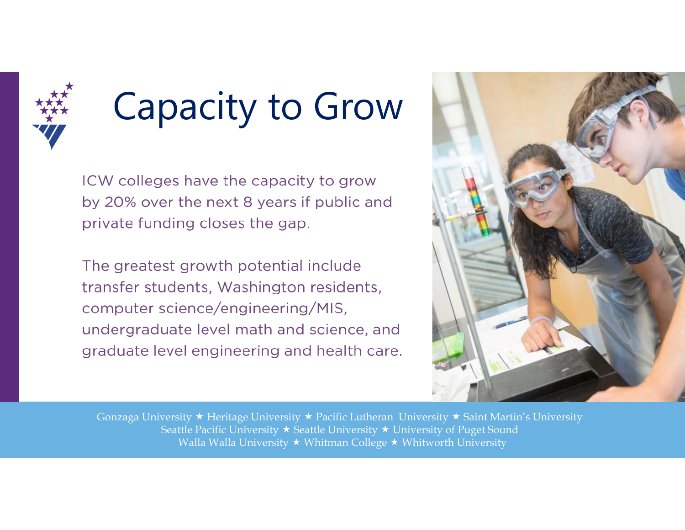

## Capacity to Grow

ICW colleges have the capacity to grow by 20% over the next 8 years if public and private funding closes the gap.

The greatest growth potential include transfer students, Washington residents, computer science/engineering/MIS, undergraduate level math and science, and graduate level engineering and health care.

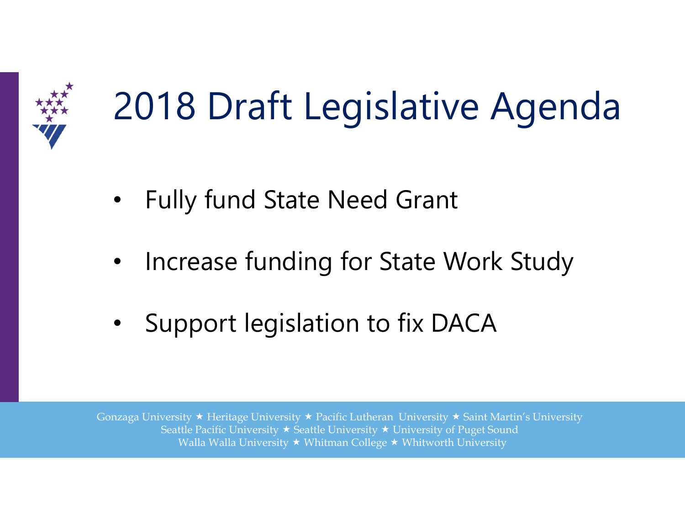

## 2018 Draft Legislative Agenda

- •Fully fund State Need Grant
- •Increase funding for State Work Study
- $\bullet$ Support legislation to fix DACA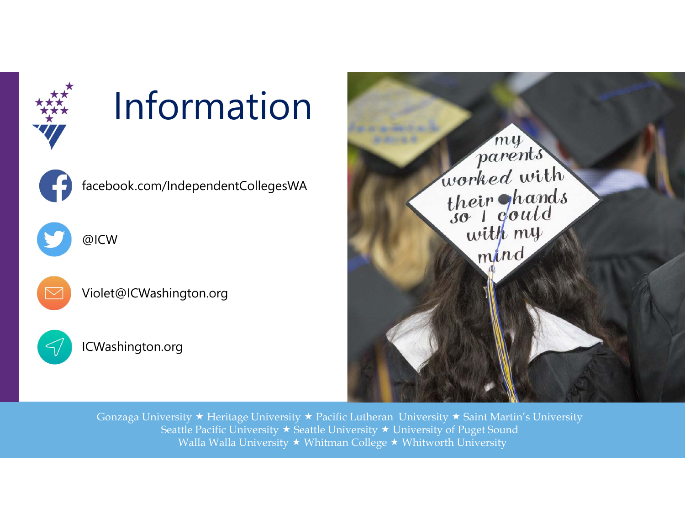

## Information



facebook.com/IndependentCollegesWA



@ICW



Violet@ICWashington.org



ICWashington.org

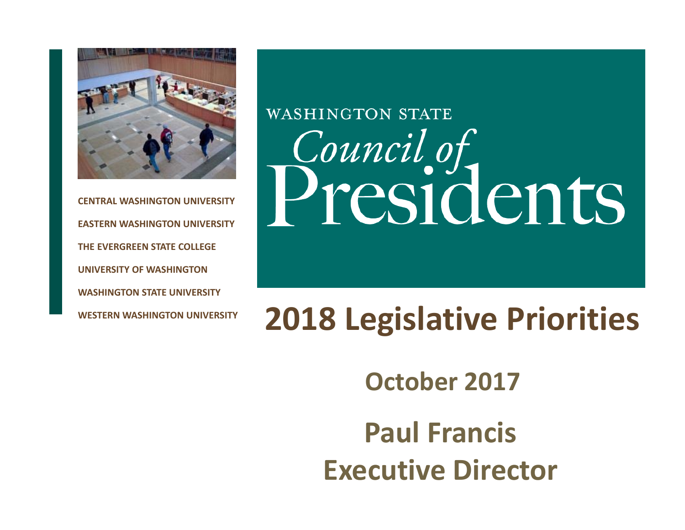

**CENTRAL WASHINGTON UNIVERSITYEASTERN WASHINGTON UNIVERSITYTHE EVERGREEN STATE COLLEGEUNIVERSITY OF WASHINGTONWASHINGTON STATE UNIVERSITYWESTERN WASHINGTON UNIVERSITY**

## **WASHINGTON STATE** *Council of*<br>Presidents

### **2018 Legislative Priorities**

**October 2017**

**Paul FrancisExecutive Director**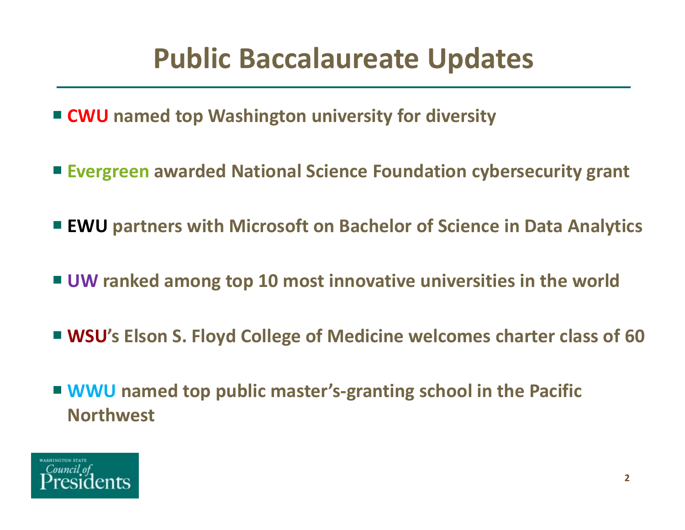### **Public Baccalaureate Updates**

- **CWU named top Washington university for diversity**
- **Evergreen awarded National Science Foundation cybersecurity grant**
- **EWU partners with Microsoft on Bachelor of Science in Data Analytic s**
- **UW ranked among top 10 most innovative universities in the world**
- **WSU's Elson S. Floyd College of Medicine welcomes charter class of 60**
- **WWU** named top public master's-granting school in the Pacific **Northwest**

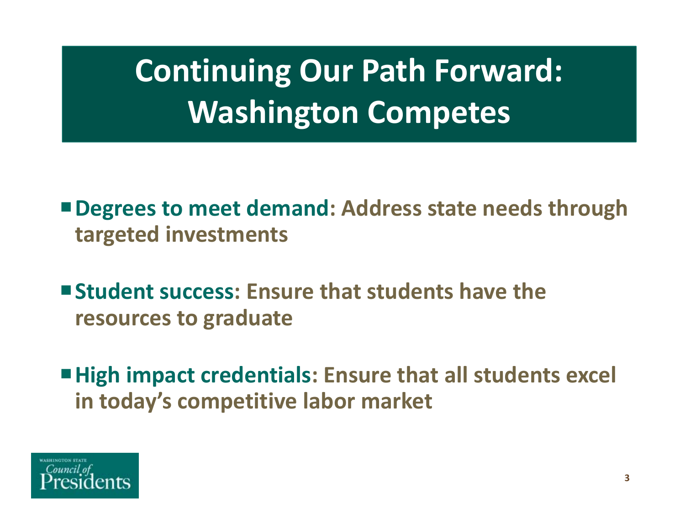### **Continuing Our Path Forward: Washington Competes**

- **Degrees to meet demand: Address state needs through targeted investments**
- **Student success: Ensure that students have the resources to graduate**
- **High impact credentials: Ensure that all students excel in today's competitive labor market**

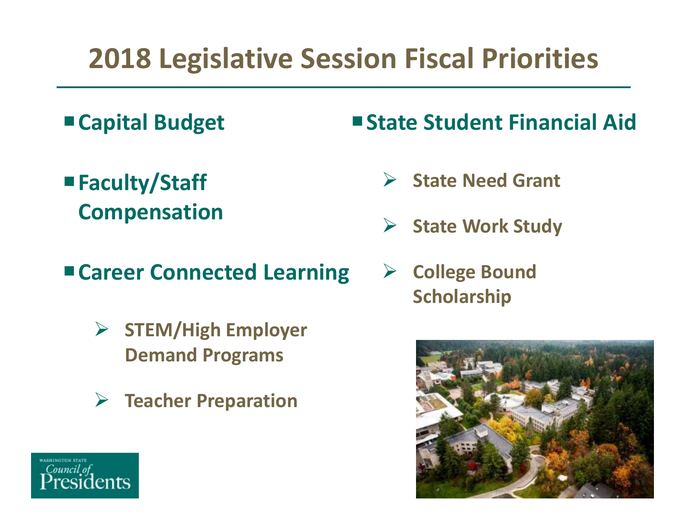### **2018 Legislative Session Fiscal Priorities**

- **Capital Budget**
- **Faculty/Staff Compensation**
- **Career Connected Learning**
	- **STEM/High Employer Demand Programs**
	- $\sum_{i=1}^{n}$ **Teacher Preparation**

### **State Student Financial Aid**

- $\sum_{i=1}^{n}$ **State Need Grant**
- $\sum_{i=1}^{n}$ **State Work Study**
- $\rightarrow$  **College Bound Scholarship**